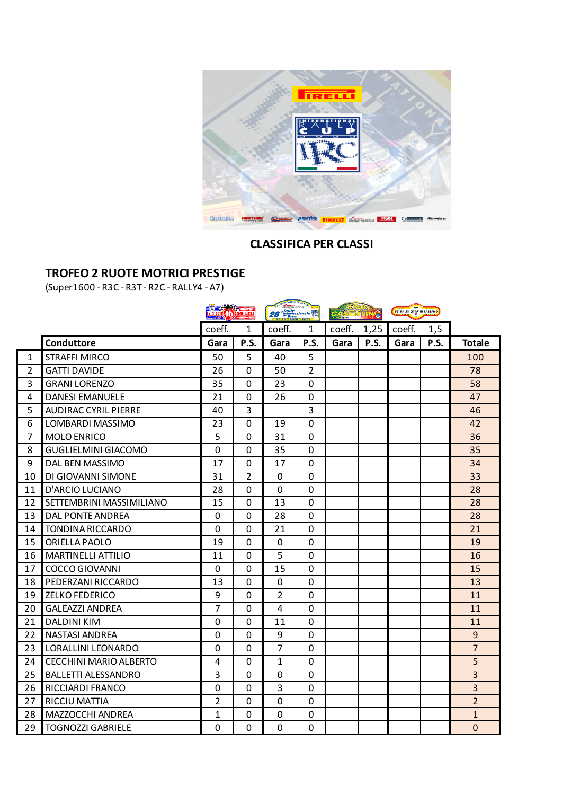

## **CLASSIFICA PER CLASSI**

# **TROFEO 2 RUOTE MOTRICI PRESTIGE**

(Super1600 - R3C - R3T - R2C - RALLY4 - A7)

|                |                               | <b>EXECUTE 26</b> |                | Diagnostica<br>28 Harburgardon Wall |                | CAS    | Ś    | 39' RALLY CITTA' DI BASSAND |      |                |
|----------------|-------------------------------|-------------------|----------------|-------------------------------------|----------------|--------|------|-----------------------------|------|----------------|
|                |                               | coeff.            | 1              | coeff.                              | 1              | coeff. | 1,25 | coeff.                      | 1,5  |                |
|                | Conduttore                    | Gara              | P.S.           | Gara                                | P.S.           | Gara   | P.S. | Gara                        | P.S. | <b>Totale</b>  |
| $\mathbf{1}$   | <b>STRAFFI MIRCO</b>          | 50                | 5              | 40                                  | 5              |        |      |                             |      | 100            |
| $\overline{2}$ | <b>GATTI DAVIDE</b>           | 26                | $\overline{0}$ | 50                                  | $\overline{2}$ |        |      |                             |      | 78             |
| 3              | <b>GRANI LORENZO</b>          | 35                | 0              | 23                                  | 0              |        |      |                             |      | 58             |
| 4              | <b>DANESI EMANUELE</b>        | 21                | $\overline{0}$ | 26                                  | $\overline{0}$ |        |      |                             |      | 47             |
| 5              | <b>AUDIRAC CYRIL PIERRE</b>   | 40                | 3              |                                     | 3              |        |      |                             |      | 46             |
| 6              | LOMBARDI MASSIMO              | 23                | 0              | 19                                  | 0              |        |      |                             |      | 42             |
| $\overline{7}$ | <b>MOLO ENRICO</b>            | 5                 | 0              | 31                                  | 0              |        |      |                             |      | 36             |
| 8              | <b>GUGLIELMINI GIACOMO</b>    | 0                 | 0              | 35                                  | 0              |        |      |                             |      | 35             |
| 9              | DAL BEN MASSIMO               | 17                | 0              | 17                                  | 0              |        |      |                             |      | 34             |
| 10             | DI GIOVANNI SIMONE            | 31                | 2              | 0                                   | 0              |        |      |                             |      | 33             |
| 11             | D'ARCIO LUCIANO               | 28                | 0              | $\overline{0}$                      | $\overline{0}$ |        |      |                             |      | 28             |
| 12             | SETTEMBRINI MASSIMILIANO      | 15                | 0              | 13                                  | 0              |        |      |                             |      | 28             |
| 13             | DAL PONTE ANDREA              | $\mathbf 0$       | 0              | 28                                  | 0              |        |      |                             |      | 28             |
| 14             | TONDINA RICCARDO              | 0                 | 0              | 21                                  | 0              |        |      |                             |      | 21             |
| 15             | ORIELLA PAOLO                 | 19                | 0              | 0                                   | $\Omega$       |        |      |                             |      | 19             |
| 16             | <b>MARTINELLI ATTILIO</b>     | 11                | 0              | 5                                   | 0              |        |      |                             |      | 16             |
| 17             | <b>COCCO GIOVANNI</b>         | $\mathbf{0}$      | 0              | 15                                  | 0              |        |      |                             |      | 15             |
| 18             | PEDERZANI RICCARDO            | 13                | 0              | 0                                   | $\overline{0}$ |        |      |                             |      | 13             |
| 19             | <b>ZELKO FEDERICO</b>         | 9                 | 0              | $\overline{2}$                      | 0              |        |      |                             |      | 11             |
| 20             | <b>GALEAZZI ANDREA</b>        | $\overline{7}$    | 0              | 4                                   | 0              |        |      |                             |      | 11             |
| 21             | <b>DALDINI KIM</b>            | 0                 | 0              | 11                                  | $\Omega$       |        |      |                             |      | 11             |
| 22             | <b>NASTASI ANDREA</b>         | 0                 | 0              | 9                                   | 0              |        |      |                             |      | 9              |
| 23             | LORALLINI LEONARDO            | $\mathbf{0}$      | 0              | 7                                   | 0              |        |      |                             |      | $\overline{7}$ |
| 24             | <b>CECCHINI MARIO ALBERTO</b> | 4                 | 0              | $\mathbf{1}$                        | 0              |        |      |                             |      | 5              |
| 25             | <b>BALLETTI ALESSANDRO</b>    | 3                 | 0              | $\mathbf 0$                         | 0              |        |      |                             |      | 3              |
| 26             | RICCIARDI FRANCO              | 0                 | 0              | 3                                   | 0              |        |      |                             |      | 3              |
| 27             | <b>RICCIU MATTIA</b>          | $\overline{2}$    | 0              | 0                                   | 0              |        |      |                             |      | $\overline{2}$ |
| 28             | MAZZOCCHI ANDREA              | 1                 | 0              | 0                                   | 0              |        |      |                             |      | $\mathbf{1}$   |
| 29             | <b>TOGNOZZI GABRIELE</b>      | 0                 | 0              | 0                                   | 0              |        |      |                             |      | $\mathbf{0}$   |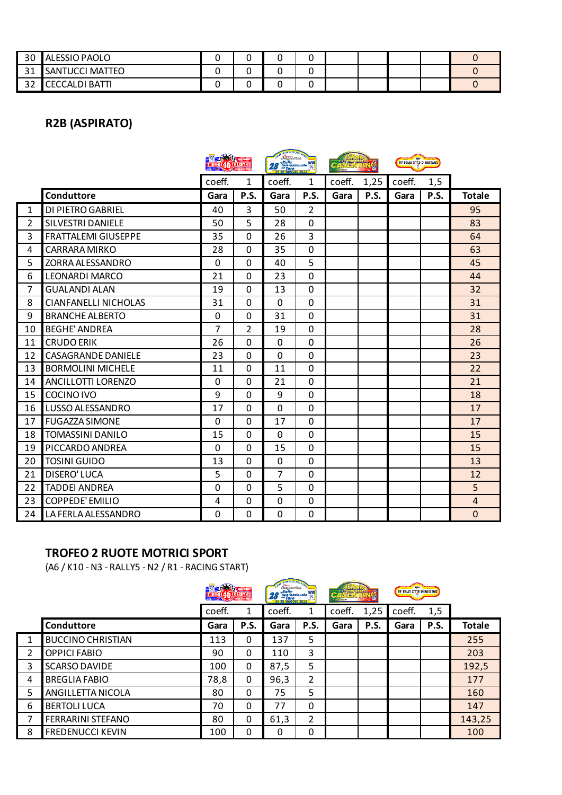| 30               | ALESSIO PAOLO          |  |  |  |  |  |
|------------------|------------------------|--|--|--|--|--|
| 24<br><u>J L</u> | <b>SANTUCCI MATTEO</b> |  |  |  |  |  |
| າາ<br>ے ت        | <b>CECCALDI BATTI</b>  |  |  |  |  |  |

# **R2B (ASPIRATO)**

|                |                             |                | <b>EXAMPLE AND REAL PROPERTY</b> |        | Diagnostica <b>Superior September 1988</b> |        | $\vec{c}$<br><b>CASENTIN</b> |        | 39° RALLY CITTA' DI BASSAND |                |
|----------------|-----------------------------|----------------|----------------------------------|--------|--------------------------------------------|--------|------------------------------|--------|-----------------------------|----------------|
|                |                             | coeff.         | 1                                | coeff. | 1                                          | coeff. | 1,25                         | coeff. | 1,5                         |                |
|                | Conduttore                  | Gara           | P.S.                             | Gara   | P.S.                                       | Gara   | P.S.                         | Gara   | P.S.                        | <b>Totale</b>  |
| $\mathbf{1}$   | DI PIETRO GABRIEL           | 40             | 3                                | 50     | 2                                          |        |                              |        |                             | 95             |
| $\overline{2}$ | SILVESTRI DANIELE           | 50             | 5                                | 28     | 0                                          |        |                              |        |                             | 83             |
| 3              | FRATTALEMI GIUSEPPE         | 35             | $\Omega$                         | 26     | 3                                          |        |                              |        |                             | 64             |
| 4              | <b>CARRARA MIRKO</b>        | 28             | 0                                | 35     | $\overline{0}$                             |        |                              |        |                             | 63             |
| 5              | ZORRA ALESSANDRO            | $\mathbf{0}$   | 0                                | 40     | 5                                          |        |                              |        |                             | 45             |
| 6              | <b>LEONARDI MARCO</b>       | 21             | 0                                | 23     | 0                                          |        |                              |        |                             | 44             |
| $\overline{7}$ | <b>GUALANDI ALAN</b>        | 19             | 0                                | 13     | 0                                          |        |                              |        |                             | 32             |
| 8              | <b>CIANFANELLI NICHOLAS</b> | 31             | $\Omega$                         | 0      | $\Omega$                                   |        |                              |        |                             | 31             |
| 9              | <b>BRANCHE ALBERTO</b>      | 0              | 0                                | 31     | 0                                          |        |                              |        |                             | 31             |
| 10             | <b>BEGHE' ANDREA</b>        | $\overline{7}$ | $\overline{2}$                   | 19     | 0                                          |        |                              |        |                             | 28             |
| 11             | <b>CRUDO ERIK</b>           | 26             | $\mathbf{0}$                     | 0      | $\Omega$                                   |        |                              |        |                             | 26             |
| 12             | <b>CASAGRANDE DANIELE</b>   | 23             | 0                                | 0      | 0                                          |        |                              |        |                             | 23             |
| 13             | <b>BORMOLINI MICHELE</b>    | 11             | 0                                | 11     | 0                                          |        |                              |        |                             | 22             |
| 14             | ANCILLOTTI LORENZO          | $\mathbf{0}$   | $\Omega$                         | 21     | $\Omega$                                   |        |                              |        |                             | 21             |
| 15             | COCINO IVO                  | 9              | $\Omega$                         | 9      | 0                                          |        |                              |        |                             | 18             |
| 16             | LUSSO ALESSANDRO            | 17             | 0                                | 0      | 0                                          |        |                              |        |                             | 17             |
| 17             | <b>FUGAZZA SIMONE</b>       | 0              | 0                                | 17     | $\Omega$                                   |        |                              |        |                             | 17             |
| 18             | <b>TOMASSINI DANILO</b>     | 15             | 0                                | 0      | 0                                          |        |                              |        |                             | 15             |
| 19             | PICCARDO ANDREA             | $\mathbf{0}$   | 0                                | 15     | 0                                          |        |                              |        |                             | 15             |
| 20             | <b>TOSINI GUIDO</b>         | 13             | 0                                | 0      | $\Omega$                                   |        |                              |        |                             | 13             |
| 21             | <b>DISERO' LUCA</b>         | 5              | 0                                | 7      | 0                                          |        |                              |        |                             | 12             |
| 22             | <b>TADDEI ANDREA</b>        | 0              | 0                                | 5      | 0                                          |        |                              |        |                             | 5              |
| 23             | <b>COPPEDE' EMILIO</b>      | 4              | 0                                | 0      | 0                                          |        |                              |        |                             | $\overline{4}$ |
| 24             | LA FERLA ALESSANDRO         | 0              | 0                                | 0      | 0                                          |        |                              |        |                             | $\mathbf{0}$   |

### **TROFEO 2 RUOTE MOTRICI SPORT**

(A6 / K10 - N3 - RALLY5 - N2 / R1 - RACING START)

|   |                          | <b>First Advised</b><br>TROFFO 46 MARENNA |             | <b>TELEVISIBLE CASALIC</b><br>Diagnostica<br><b>28</b> <i>Chally</i><br>28-28 Maggio 2022 |                | <b>CASER</b> |      | 39° RALLY CITTA' DI BASSAND |      |               |
|---|--------------------------|-------------------------------------------|-------------|-------------------------------------------------------------------------------------------|----------------|--------------|------|-----------------------------|------|---------------|
|   |                          | coeff.                                    | 1           | coeff.                                                                                    |                | coeff.       | 1,25 | coeff.                      | 1,5  |               |
|   | Conduttore               | Gara                                      | <b>P.S.</b> | Gara                                                                                      | <b>P.S.</b>    | Gara         | P.S. | Gara                        | P.S. | <b>Totale</b> |
| 1 | <b>BUCCINO CHRISTIAN</b> | 113                                       | 0           | 137                                                                                       | 5              |              |      |                             |      | 255           |
| 2 | <b>OPPICI FABIO</b>      | 90                                        | 0           | 110                                                                                       | 3              |              |      |                             |      | 203           |
| 3 | <b>SCARSO DAVIDE</b>     | 100                                       | 0           | 87,5                                                                                      | 5              |              |      |                             |      | 192,5         |
| 4 | <b>BREGLIA FABIO</b>     | 78,8                                      | $\Omega$    | 96,3                                                                                      | $\overline{2}$ |              |      |                             |      | 177           |
| 5 | ANGILLETTA NICOLA        | 80                                        | 0           | 75                                                                                        | 5              |              |      |                             |      | 160           |
| 6 | <b>BERTOLI LUCA</b>      | 70                                        | 0           | 77                                                                                        | 0              |              |      |                             |      | 147           |
| 7 | <b>FERRARINI STEFANO</b> | 80                                        | 0           | 61,3                                                                                      | 2              |              |      |                             |      | 143,25        |
| 8 | <b>FREDENUCCI KEVIN</b>  | 100                                       | 0           | 0                                                                                         | 0              |              |      |                             |      | 100           |